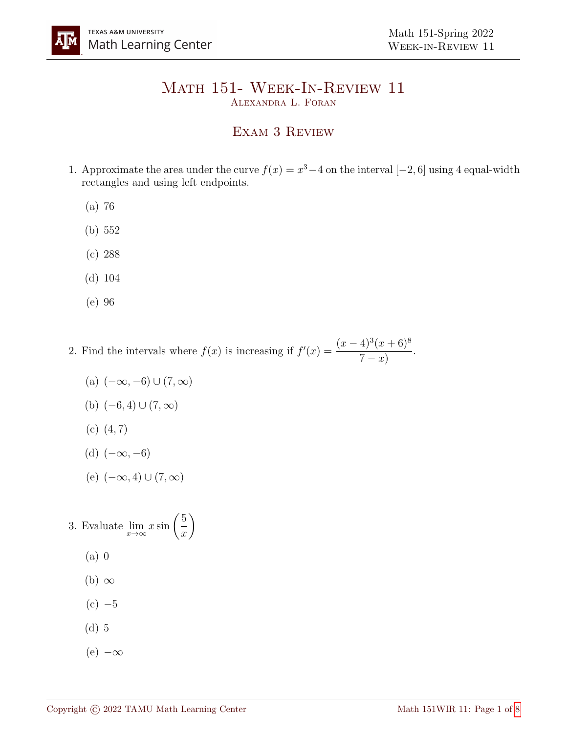## Math 151- Week-In-Review 11 Alexandra L. Foran

## Exam 3 Review

- 1. Approximate the area under the curve  $f(x) = x^3 4$  on the interval  $[-2, 6]$  using 4 equal-width rectangles and using left endpoints.
	- (a) 76
	- (b) 552
	- (c) 288
	- (d) 104
	- (e) 96
- 2. Find the intervals where  $f(x)$  is increasing if  $f'(x) = \frac{(x-4)^3(x+6)^8}{5}$  $7 - x)$ .
	- (a)  $(-\infty, -6) \cup (7, \infty)$ (b)  $(-6, 4) \cup (7, ∞)$  $(c)$   $(4, 7)$
	- (d)  $(-\infty, -6)$
	- (e)  $(-\infty, 4) \cup (7, \infty)$

3. Evaluate  $\lim_{x \to \infty} x \sin \left( \frac{5}{x} \right)$  $\boldsymbol{x}$  $\setminus$ (a) 0  $(b) \infty$  $(c) -5$ (d) 5

 $(e)$  – $\infty$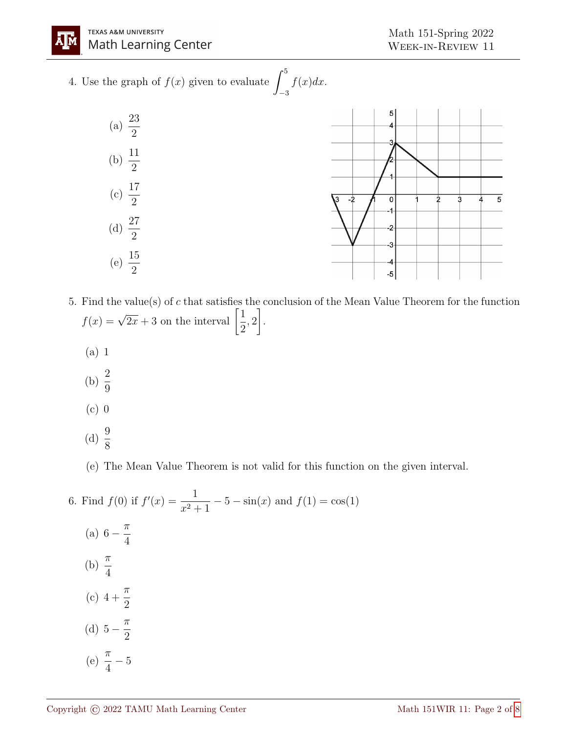A |M

4. Use the graph of  $f(x)$  given to evaluate  $\int^5$ −3  $f(x)dx$ .



- 5. Find the value(s) of c that satisfies the conclusion of the Mean Value Theorem for the function  $f(x) = \sqrt{2x} + 3$  on the interval  $\left[\frac{1}{2}\right]$ 2 , 2 1 .
	- (a) 1
	- (b)  $\frac{2}{6}$ 9
	- $(c)$  0
	- (d)  $\frac{9}{9}$ 8

(e) The Mean Value Theorem is not valid for this function on the given interval.

6. Find  $f(0)$  if  $f'(x) = \frac{1}{x}$  $x^2 + 1$  $-5 - \sin(x)$  and  $f(1) = \cos(1)$ (a) 6 -  $\frac{\pi}{4}$ 4 (b)  $\frac{\pi}{4}$ 4  $(c)$  4 +  $\pi$ 2 (d)  $5 - \frac{\pi}{2}$ 2 (e)  $\frac{\pi}{4}$ 4 − 5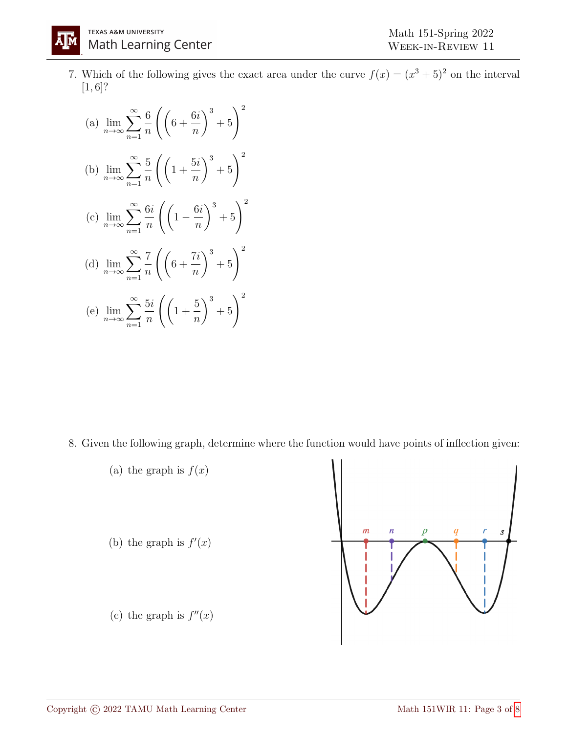7. Which of the following gives the exact area under the curve  $f(x) = (x^3 + 5)^2$  on the interval  $[1, 6]$ ?

(a) 
$$
\lim_{n \to \infty} \sum_{n=1}^{\infty} \frac{6}{n} \left( \left( 6 + \frac{6i}{n} \right)^3 + 5 \right)^2
$$
  
\n(b) 
$$
\lim_{n \to \infty} \sum_{n=1}^{\infty} \frac{5}{n} \left( \left( 1 + \frac{5i}{n} \right)^3 + 5 \right)^2
$$
  
\n(c) 
$$
\lim_{n \to \infty} \sum_{n=1}^{\infty} \frac{6i}{n} \left( \left( 1 - \frac{6i}{n} \right)^3 + 5 \right)^2
$$
  
\n(d) 
$$
\lim_{n \to \infty} \sum_{n=1}^{\infty} \frac{7}{n} \left( \left( 6 + \frac{7i}{n} \right)^3 + 5 \right)^2
$$
  
\n(e) 
$$
\lim_{n \to \infty} \sum_{n=1}^{\infty} \frac{5i}{n} \left( \left( 1 + \frac{5}{n} \right)^3 + 5 \right)^2
$$

8. Given the following graph, determine where the function would have points of inflection given:



ĀM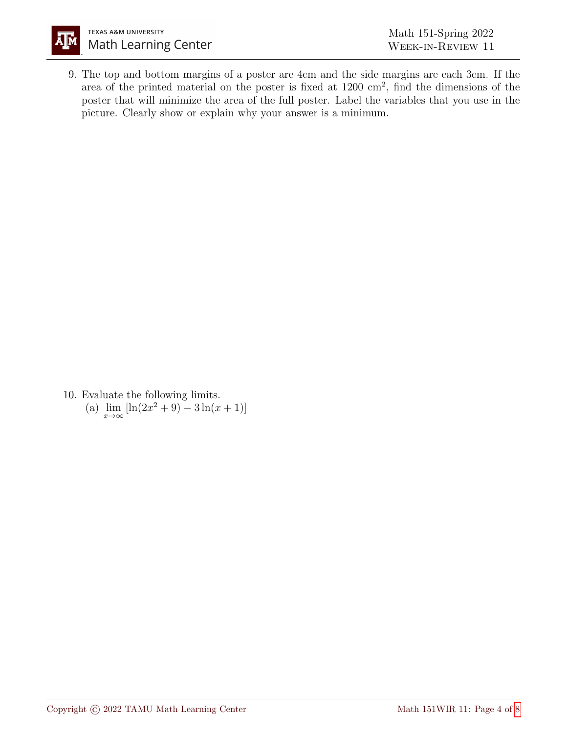

9. The top and bottom margins of a poster are 4cm and the side margins are each 3cm. If the area of the printed material on the poster is fixed at 1200 cm<sup>2</sup> , find the dimensions of the poster that will minimize the area of the full poster. Label the variables that you use in the picture. Clearly show or explain why your answer is a minimum.

10. Evaluate the following limits. (a)  $\lim_{x \to \infty} [\ln(2x^2 + 9) - 3\ln(x + 1)]$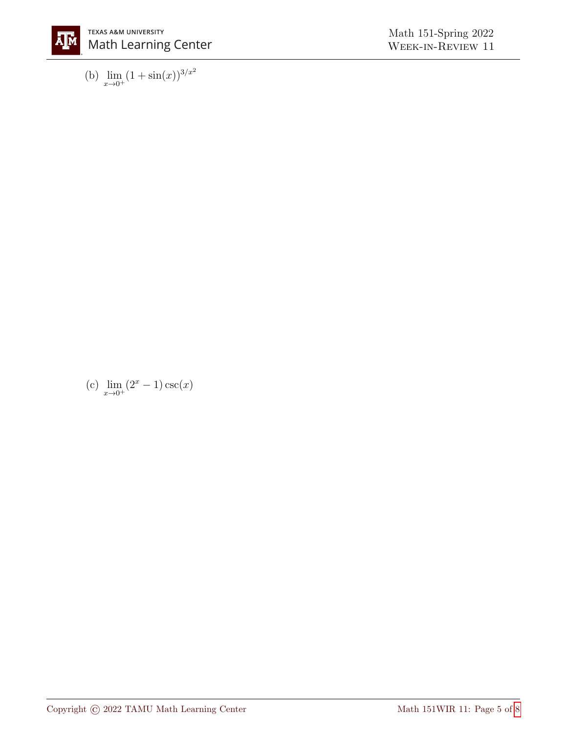

(b)  $\lim_{x \to 0^+} (1 + \sin(x))^{3/x^2}$ 

(c)  $\lim_{x \to 0^+} (2^x - 1) \csc(x)$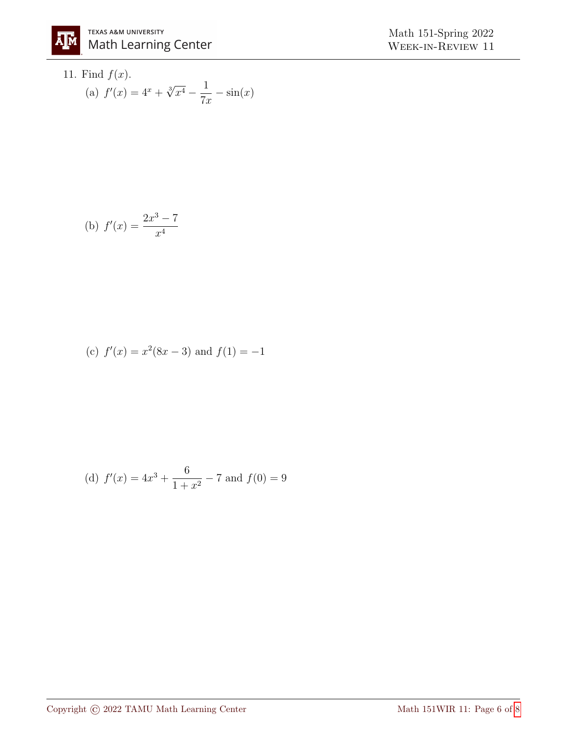11. Find 
$$
f(x)
$$
.  
\n(a)  $f'(x) = 4^x + \sqrt[3]{x^4} - \frac{1}{7x} - \sin(x)$ 

(b) 
$$
f'(x) = \frac{2x^3 - 7}{x^4}
$$

(c) 
$$
f'(x) = x^2(8x - 3)
$$
 and  $f(1) = -1$ 

(d) 
$$
f'(x) = 4x^3 + \frac{6}{1+x^2} - 7
$$
 and  $f(0) = 9$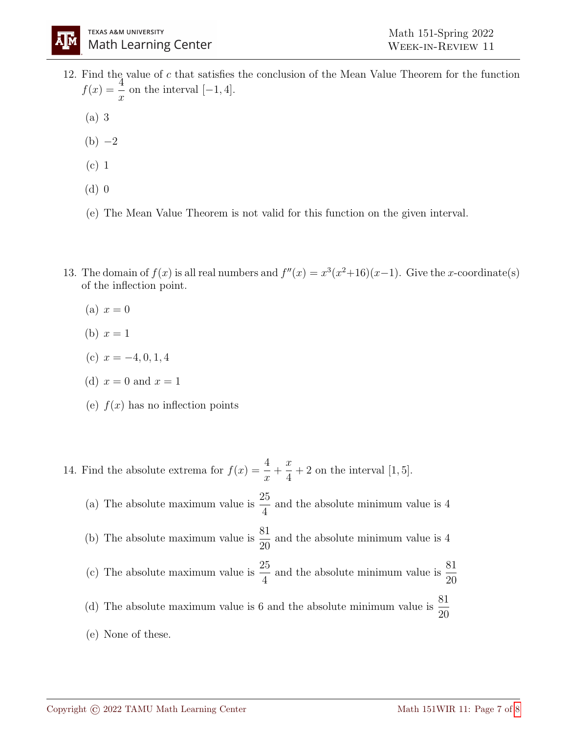- 12. Find the value of c that satisfies the conclusion of the Mean Value Theorem for the function  $f(x) = \frac{4}{x}$  $\boldsymbol{x}$ on the interval  $[-1, 4]$ .
	- (a) 3
	- $(b) -2$
	- (c) 1
	- (d) 0
	- (e) The Mean Value Theorem is not valid for this function on the given interval.
- 13. The domain of  $f(x)$  is all real numbers and  $f''(x) = x^3(x^2+16)(x-1)$ . Give the x-coordinate(s) of the inflection point.
	- (a)  $x=0$
	- (b)  $x = 1$
	- (c)  $x = -4, 0, 1, 4$
	- (d)  $x = 0$  and  $x = 1$
	- (e)  $f(x)$  has no inflection points
- 14. Find the absolute extrema for  $f(x) = \frac{4}{x}$  $\overline{x}$  $+$  $\boldsymbol{x}$ 4  $+ 2$  on the interval  $[1, 5]$ . (a) The absolute maximum value is  $\frac{25}{4}$ 4 and the absolute minimum value is 4 (b) The absolute maximum value is  $\frac{81}{20}$ 20 and the absolute minimum value is 4 (c) The absolute maximum value is  $\frac{25}{4}$ 4 and the absolute minimum value is  $\frac{81}{20}$ 20 (d) The absolute maximum value is 6 and the absolute minimum value is  $\frac{81}{20}$ 20 (e) None of these.